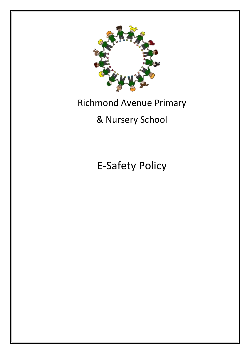

# Richmond Avenue Primary

# & Nursery School

E-Safety Policy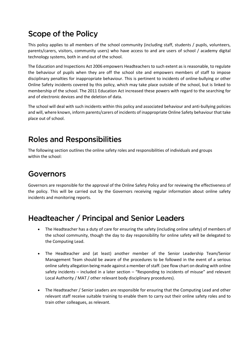# Scope of the Policy

This policy applies to all members of the school community (including staff, students / pupils, volunteers, parents/carers, visitors, community users) who have access to and are users of school / academy digital technology systems, both in and out of the school.

The Education and Inspections Act 2006 empowers Headteachers to such extent as is reasonable, to regulate the behaviour of pupils when they are off the school site and empowers members of staff to impose disciplinary penalties for inappropriate behaviour. This is pertinent to incidents of online-bullying or other Online Safety incidents covered by this policy, which may take place outside of the school, but is linked to membership of the school. The 2011 Education Act increased these powers with regard to the searching for and of electronic devices and the deletion of data.

The school will deal with such incidents within this policy and associated behaviour and anti-bullying policies and will, where known, inform parents/carers of incidents of inappropriate Online Safety behaviour that take place out of school.

# **Roles and Responsibilities**

The following section outlines the online safety roles and responsibilities of individuals and groups within the school:

### Governors

Governors are responsible for the approval of the Online Safety Policy and for reviewing the effectiveness of the policy. This will be carried out by the Governors receiving regular information about online safety incidents and monitoring reports.

### Headteacher / Principal and Senior Leaders

- The Headteacher has a duty of care for ensuring the safety (including online safety) of members of the school community, though the day to day responsibility for online safety will be delegated to the Computing Lead.
- The Headteacher and (at least) another member of the Senior Leadership Team/Senior Management Team should be aware of the procedures to be followed in the event of a serious online safety allegation being made against a member of staff. (see flow chart on dealing with online safety incidents – included in a later section – "Responding to incidents of misuse" and relevant Local Authority / MAT / other relevant body disciplinary procedures).
- The Headteacher / Senior Leaders are responsible for ensuring that the Computing Lead and other relevant staff receive suitable training to enable them to carry out their online safety roles and to train other colleagues, as relevant.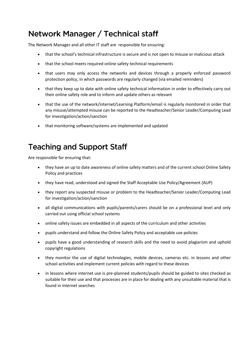# Network Manager / Technical staff

The Network Manager and all other IT staff are responsible for ensuring:

- that the school's technical infrastructure is secure and is not open to misuse or malicious attack
- that the school meets required online safety technical requirements
- that users may only access the networks and devices through a properly enforced password protection policy, in which passwords are regularly changed (via emailed reminders)
- that they keep up to date with online safety technical information in order to effectively carry out their online safety role and to inform and update others as relevant
- that the use of the network/internet/Learning Platform/email is regularly monitored in order that any misuse/attempted misuse can be reported to the Headteacher/Senior Leader/Computing Lead for investigation/action/sanction
- that monitoring software/systems are implemented and updated

# **Teaching and Support Staff**

Are responsible for ensuring that:

- they have an up to date awareness of online safety matters and of the current school Online Safety Policy and practices
- they have read, understood and signed the Staff Acceptable Use Policy/Agreement (AUP)
- they report any suspected misuse or problem to the Headteacher/Senior Leader/Computing Lead for investigation/action/sanction
- all digital communications with pupils/parents/carers should be on a professional level and only carried out using official school systems
- online safety issues are embedded in all aspects of the curriculum and other activities
- pupils understand and follow the Online Safety Policy and acceptable use policies
- pupils have a good understanding of research skills and the need to avoid plagiarism and uphold copyright regulations
- they monitor the use of digital technologies, mobile devices, cameras etc. in lessons and other school activities and implement current policies with regard to these devices
- in lessons where internet use is pre-planned students/pupils should be guided to sites checked as suitable for their use and that processes are in place for dealing with any unsuitable material that is found in internet searches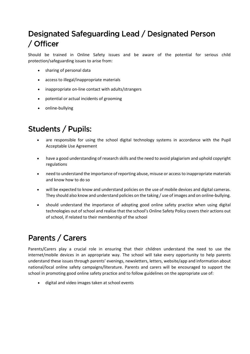# Designated Safeguarding Lead / Designated Person / Officer

Should be trained in Online Safety issues and be aware of the potential for serious child protection/safeguarding issues to arise from:

- sharing of personal data
- access to illegal/inappropriate materials
- inappropriate on-line contact with adults/strangers
- potential or actual incidents of grooming
- online-bullying

# **Students / Pupils:**

- are responsible for using the school digital technology systems in accordance with the Pupil Acceptable Use Agreement
- have a good understanding of research skills and the need to avoid plagiarism and uphold copyright regulations
- need to understand the importance of reporting abuse, misuse or access to inappropriate materials and know how to do so
- will be expected to know and understand policies on the use of mobile devices and digital cameras. They should also know and understand policies on the taking / use of images and on online-bullying.
- should understand the importance of adopting good online safety practice when using digital technologies out of school and realise that the school's Online Safety Policy covers their actions out of school, if related to their membership of the school

# Parents / Carers

Parents/Carers play a crucial role in ensuring that their children understand the need to use the internet/mobile devices in an appropriate way. The school will take every opportunity to help parents understand these issues through parents' evenings, newsletters, letters, website/app and information about national/local online safety campaigns/literature. Parents and carers will be encouraged to support the school in promoting good online safety practice and to follow guidelines on the appropriate use of:

• digital and video images taken at school events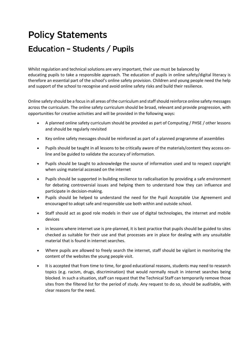# **Policy Statements** Education - Students / Pupils

Whilst regulation and technical solutions are very important, their use must be balanced by educating pupils to take a responsible approach. The education of pupils in online safety/digital literacy is therefore an essential part of the school's online safety provision. Children and young people need the help and support of the school to recognise and avoid online safety risks and build their resilience.

Online safety should be a focus in all areas of the curriculum and staff should reinforce online safety messages across the curriculum. The online safety curriculum should be broad, relevant and provide progression, with opportunities for creative activities and will be provided in the following ways:

- A planned online safety curriculum should be provided as part of Computing / PHSE / other lessons and should be regularly revisited
- Key online safety messages should be reinforced as part of a planned programme of assemblies
- Pupils should be taught in all lessons to be critically aware of the materials/content they access online and be guided to validate the accuracy of information.
- Pupils should be taught to acknowledge the source of information used and to respect copyright when using material accessed on the internet
- Pupils should be supported in building resilience to radicalisation by providing a safe environment for debating controversial issues and helping them to understand how they can influence and participate in decision-making.
- Pupils should be helped to understand the need for the Pupil Acceptable Use Agreement and encouraged to adopt safe and responsible use both within and outside school.
- Staff should act as good role models in their use of digital technologies, the internet and mobile devices
- in lessons where internet use is pre-planned, it is best practice that pupils should be guided to sites checked as suitable for their use and that processes are in place for dealing with any unsuitable material that is found in internet searches.
- Where pupils are allowed to freely search the internet, staff should be vigilant in monitoring the content of the websites the young people visit.
- It is accepted that from time to time, for good educational reasons, students may need to research topics (e.g. racism, drugs, discrimination) that would normally result in internet searches being blocked. In such a situation, staff can request that the Technical Staff can temporarily remove those sites from the filtered list for the period of study. Any request to do so, should be auditable, with clear reasons for the need.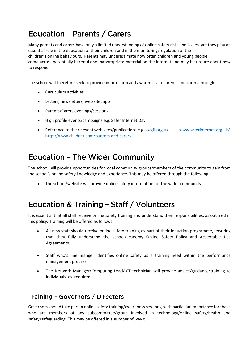# **Education - Parents / Carers**

Many parents and carers have only a limited understanding of online safety risks and issues, yet they play an essential role in the education of their children and in the monitoring/regulation of the children's online behaviours. Parents may underestimate how often children and young people come across potentially harmful and inappropriate material on the internet and may be unsure about how to respond.

The school will therefore seek to provide information and awareness to parents and carers through:

- Curriculum activities
- Letters, newsletters, web site, app
- Parents/Carers evenings/sessions
- High profile events/campaigns e.g. Safer Internet Day
- Reference to the relevant web sites/publications e.g[. swgfl.org.uk](http://swgfl.org.uk/) [www.saferinternet.org.uk/](http://www.saferinternet.org.uk/) <http://www.childnet.com/parents-and-carers>

### **Education - The Wider Community**

The school will provide opportunities for local community groups/members of the community to gain from the school's online safety knowledge and experience. This may be offered through the following:

• The school/website will provide online safety information for the wider community

### Education & Training - Staff / Volunteers

It is essential that all staff receive online safety training and understand their responsibilities, as outlined in this policy. Training will be offered as follows:

- All new staff should receive online safety training as part of their induction programme, ensuring that they fully understand the school/academy Online Safety Policy and Acceptable Use Agreements.
- Staff who's line manger identifies online safety as a training need within the performance management process.
- The Network Manager/Computing Lead/ICT technician will provide advice/guidance/training to individuals as required.

#### Training - Governors / Directors

Governors should take part in online safety training/awareness sessions, with particular importance for those who are members of any subcommittee/group involved in technology/online safety/health and safety/safeguarding. This may be offered in a number of ways: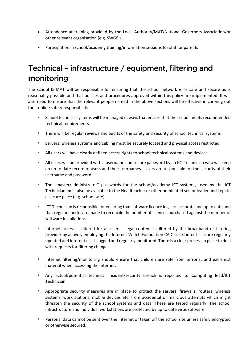- Attendance at training provided by the Local Authority/MAT/National Governors Association/or other relevant organisation (e.g. SWGfL).
- Participation in school/academy training/information sessions for staff or parents

# Technical - infrastructure / equipment, filtering and monitoring

The school & MAT will be responsible for ensuring that the school network is as safe and secure as is reasonably possible and that policies and procedures approved within this policy are implemented. It will also need to ensure that the relevant people named in the above sections will be effective in carrying out their online safety responsibilities:

- *•* School technical systems will be managed in ways that ensure that the school meets recommended technical requirements
- *•* There will be regular reviews and audits of the safety and security of school technical systems
- *•* Servers, wireless systems and cabling must be securely located and physical access restricted
- *•* All users will have clearly defined access rights to school technical systems and devices.
- *•* All users will be provided with a username and secure password by an ICT Technician who will keep an up to date record of users and their usernames. Users are responsible for the security of their username and password.
- *•* The "master/administrator" passwords for the school/academy ICT systems, used by the ICT Technician must also be available to the Headteacher or other nominated senior leader and kept in a secure place (e.g. school safe)
- *•* ICT Technician is responsible for ensuring that software licence logs are accurate and up to date and that regular checks are made to reconcile the number of licences purchased against the number of software installations
- *•* Internet access is filtered for all users. Illegal content is filtered by the broadband or filtering provider by actively employing the Internet Watch Foundation CAIC list. Content lists are regularly updated and internet use is logged and regularly monitored. There is a clear process in place to deal with requests for filtering changes.
- *•* Internet filtering/monitoring should ensure that children are safe from terrorist and extremist material when accessing the internet.
- *•* Any actual/potential technical incident/security breach is reported to Computing lead/ICT Technician
- *•* Appropriate security measures are in place to protect the servers, firewalls, routers, wireless systems, work stations, mobile devices etc. from accidental or malicious attempts which might threaten the security of the school systems and data. These are tested regularly. The school infrastructure and individual workstations are protected by up to date virus software.
- *•* Personal data cannot be sent over the internet or taken off the school site unless safely encrypted or otherwise secured.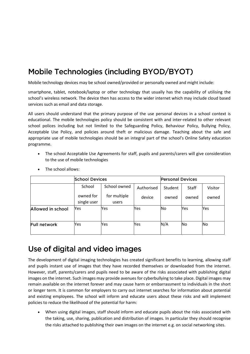# Mobile Technologies (including BYOD/BYOT)

Mobile technology devices may be school owned/provided or personally owned and might include:

smartphone, tablet, notebook/laptop or other technology that usually has the capability of utilising the school's wireless network. The device then has access to the wider internet which may include cloud based services such as email and data storage.

All users should understand that the primary purpose of the use personal devices in a school context is educational. The mobile technologies policy should be consistent with and inter-related to other relevant school polices including but not limited to the Safeguarding Policy, Behaviour Policy, Bullying Policy, Acceptable Use Policy, and policies around theft or malicious damage. Teaching about the safe and appropriate use of mobile technologies should be an integral part of the school's Online Safety education programme.

• The school Acceptable Use Agreements for staff, pupils and parents/carers will give consideration to the use of mobile technologies

|                   | <b>School Devices</b>    |                       |            | <b>Personal Devices</b> |       |         |  |
|-------------------|--------------------------|-----------------------|------------|-------------------------|-------|---------|--|
|                   | School                   | School owned          | Authorised | Student                 | Staff | Visitor |  |
|                   | owned for<br>single user | for multiple<br>users | device     | owned                   | owned | owned   |  |
| Allowed in school | Yes                      | Yes                   | Yes        | No                      | Yes   | Yes     |  |
| Full network      | Yes                      | Yes                   | Yes        | N/A                     | No    | Νo      |  |

• The school allows:

### Use of digital and video images

The development of digital imaging technologies has created significant benefits to learning, allowing staff and pupils instant use of images that they have recorded themselves or downloaded from the internet. However, staff, parents/carers and pupils need to be aware of the risks associated with publishing digital images on the internet. Such images may provide avenues for cyberbullying to take place. Digital images may remain available on the internet forever and may cause harm or embarrassment to individuals in the short or longer term. It is common for employers to carry out internet searches for information about potential and existing employees. The school will inform and educate users about these risks and will implement policies to reduce the likelihood of the potential for harm:

• When using digital images, staff should inform and educate pupils about the risks associated with the taking, use, sharing, publication and distribution of images. In particular they should recognise the risks attached to publishing their own images on the internet e.g. on social networking sites.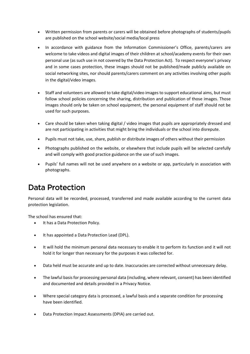- Written permission from parents or carers will be obtained before photographs of students/pupils are published on the school website/social media/local press
- In accordance with guidance from the Information Commissioner's Office, parents/carers are welcome to take videos and digital images of their children at school/academy events for their own personal use (as such use in not covered by the Data Protection Act). To respect everyone's privacy and in some cases protection, these images should not be published/made publicly available on social networking sites, nor should parents/carers comment on any activities involving other pupils in the digital/video images.
- Staff and volunteers are allowed to take digital/video images to support educational aims, but must follow school policies concerning the sharing, distribution and publication of those images. Those images should only be taken on school equipment, the personal equipment of staff should not be used for such purposes.
- Care should be taken when taking digital / video images that pupils are appropriately dressed and are not participating in activities that might bring the individuals or the school into disrepute.
- Pupils must not take, use, share, publish or distribute images of others without their permission
- Photographs published on the website, or elsewhere that include pupils will be selected carefully and will comply with good practice guidance on the use of such images.
- Pupils' full names will not be used anywhere on a website or app, particularly in association with photographs.

### **Data Protection**

Personal data will be recorded, processed, transferred and made available according to the current data protection legislation.

The school has ensured that:

- It has a Data Protection Policy.
- It has appointed a Data Protection Lead (DPL).
- It will hold the minimum personal data necessary to enable it to perform its function and it will not hold it for longer than necessary for the purposes it was collected for.
- Data held must be accurate and up to date. Inaccuracies are corrected without unnecessary delay.
- The lawful basis for processing personal data (including, where relevant, consent) has been identified and documented and details provided in a Privacy Notice.
- Where special category data is processed, a lawful basis and a separate condition for processing have been identified.
- Data Protection Impact Assessments (DPIA) are carried out.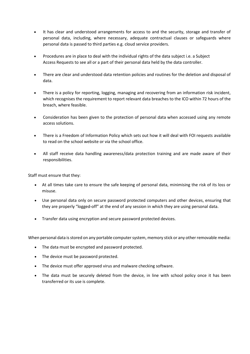- It has clear and understood arrangements for access to and the security, storage and transfer of personal data, including, where necessary, adequate contractual clauses or safeguards where personal data is passed to third parties e.g. cloud service providers.
- Procedures are in place to deal with the individual rights of the data subject i.e. a Subject Access Requests to see all or a part of their personal data held by the data controller.
- There are clear and understood data retention policies and routines for the deletion and disposal of data.
- There is a policy for reporting, logging, managing and recovering from an information risk incident, which recognises the requirement to report relevant data breaches to the ICO within 72 hours of the breach, where feasible.
- Consideration has been given to the protection of personal data when accessed using any remote access solutions.
- There is a Freedom of Information Policy which sets out how it will deal with FOI requests available to read on the school website or via the school office.
- All staff receive data handling awareness/data protection training and are made aware of their responsibilities.

Staff must ensure that they:

- At all times take care to ensure the safe keeping of personal data, minimising the risk of its loss or misuse.
- Use personal data only on secure password protected computers and other devices, ensuring that they are properly "logged-off" at the end of any session in which they are using personal data.
- Transfer data using encryption and secure password protected devices.

When personal data is stored on any portable computer system, memory stick or any other removable media:

- The data must be encrypted and password protected.
- The device must be password protected.
- The device must offer approved virus and malware checking software.
- The data must be securely deleted from the device, in line with school policy once it has been transferred or its use is complete.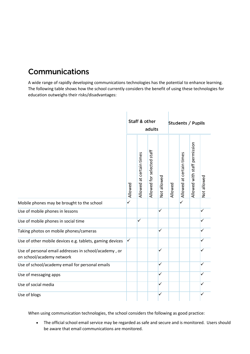# Communications

A wide range of rapidly developing communications technologies has the potential to enhance learning. The following table shows how the school currently considers the benefit of using these technologies for education outweighs their risks/disadvantages:



When using communication technologies, the school considers the following as good practice:

• The official school email service may be regarded as safe and secure and is monitored. Users should be aware that email communications are monitored.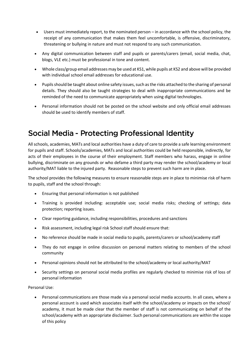- Users must immediately report, to the nominated person in accordance with the school policy, the receipt of any communication that makes them feel uncomfortable, is offensive, discriminatory, threatening or bullying in nature and must not respond to any such communication.
- Any digital communication between staff and pupils or parents/carers (email, social media, chat, blogs, VLE etc.) must be professional in tone and content.
- Whole class/group email addresses may be used at KS1, while pupils at KS2 and above will be provided with individual school email addresses for educational use.
- Pupils should be taught about online safety issues, such as the risks attached to the sharing of personal details. They should also be taught strategies to deal with inappropriate communications and be reminded of the need to communicate appropriately when using digital technologies.
- Personal information should not be posted on the school website and only official email addresses should be used to identify members of staff.

### **Social Media - Protecting Professional Identity**

All schools, academies, MATs and local authorities have a duty of care to provide a safe learning environment for pupils and staff. Schools/academies, MATs and local authorities could be held responsible, indirectly, for acts of their employees in the course of their employment. Staff members who harass, engage in online bullying, discriminate on any grounds or who defame a third party may render the school/academy or local authority/MAT liable to the injured party. Reasonable steps to prevent such harm are in place.

The school provides the following measures to ensure reasonable steps are in place to minimise risk of harm to pupils, staff and the school through:

- Ensuring that personal information is not published
- Training is provided including: acceptable use; social media risks; checking of settings; data protection; reporting issues.
- Clear reporting guidance, including responsibilities, procedures and sanctions
- Risk assessment, including legal risk School staff should ensure that:
- No reference should be made in social media to pupils, parents/carers or school/academy staff
- They do not engage in online discussion on personal matters relating to members of the school community
- Personal opinions should not be attributed to the school/academy or local authority/MAT
- Security settings on personal social media profiles are regularly checked to minimise risk of loss of personal information

Personal Use:

• Personal communications are those made via a personal social media accounts. In all cases, where a personal account is used which associates itself with the school/academy or impacts on the school/ academy, it must be made clear that the member of staff is not communicating on behalf of the school/academy with an appropriate disclaimer. Such personal communications are within the scope of this policy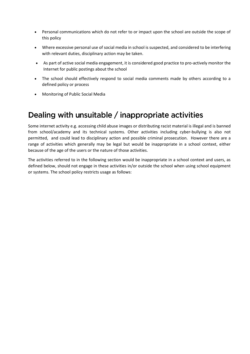- Personal communications which do not refer to or impact upon the school are outside the scope of this policy
- Where excessive personal use of social media in school is suspected, and considered to be interfering with relevant duties, disciplinary action may be taken.
- As part of active social media engagement, it is considered good practice to pro-actively monitor the Internet for public postings about the school
- The school should effectively respond to social media comments made by others according to a defined policy or process
- Monitoring of Public Social Media

### Dealing with unsuitable / inappropriate activities

Some internet activity e.g. accessing child abuse images or distributing racist material is illegal and is banned from school/academy and its technical systems. Other activities including cyber-bullying is also not permitted, and could lead to disciplinary action and possible criminal prosecution. However there are a range of activities which generally may be legal but would be inappropriate in a school context, either because of the age of the users or the nature of those activities.

The activities referred to in the following section would be inappropriate in a school context and users, as defined below, should not engage in these activities in/or outside the school when using school equipment or systems. The school policy restricts usage as follows: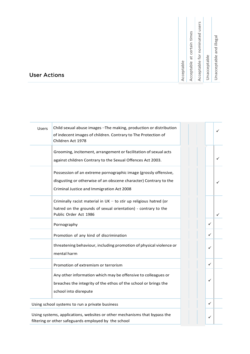| Acceptable                     |
|--------------------------------|
| Acceptable at certain times    |
| Acceptable for nominated users |
| Unacceptable                   |
| Unacceptable and illegal       |

#### **User Actions**

| <b>Users</b>                                   | Child sexual abuse images - The making, production or distribution<br>of indecent images of children. Contrary to The Protection of<br>Children Act 1978                         |   | ✓ |
|------------------------------------------------|----------------------------------------------------------------------------------------------------------------------------------------------------------------------------------|---|---|
|                                                | Grooming, incitement, arrangement or facilitation of sexual acts<br>against children Contrary to the Sexual Offences Act 2003.                                                   |   |   |
|                                                | Possession of an extreme pornographic image (grossly offensive,<br>disgusting or otherwise of an obscene character) Contrary to the<br>Criminal Justice and Immigration Act 2008 |   |   |
|                                                | Criminally racist material in $UK - to$ stir up religious hatred (or<br>hatred on the grounds of sexual orientation) - contrary to the<br>Public Order Act 1986                  |   |   |
|                                                | Pornography                                                                                                                                                                      | ✓ |   |
|                                                | Promotion of any kind of discrimination                                                                                                                                          | ✓ |   |
|                                                | threatening behaviour, including promotion of physical violence or<br>mental harm                                                                                                | ✓ |   |
|                                                | Promotion of extremism or terrorism                                                                                                                                              | ✓ |   |
|                                                | Any other information which may be offensive to colleagues or<br>breaches the integrity of the ethos of the school or brings the<br>school into disrepute                        | ✓ |   |
| Using school systems to run a private business |                                                                                                                                                                                  | ✓ |   |
|                                                | Using systems, applications, websites or other mechanisms that bypass the<br>filtering or other safeguards employed by the school                                                | ✓ |   |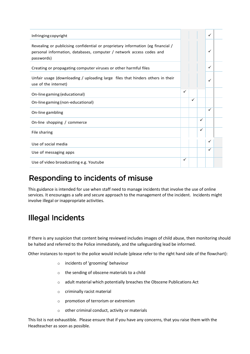| Infringing copyright                                                                                                                                                   |   |   |              | ✓ |  |
|------------------------------------------------------------------------------------------------------------------------------------------------------------------------|---|---|--------------|---|--|
| Revealing or publicising confidential or proprietary information (eg financial /<br>personal information, databases, computer / network access codes and<br>passwords) |   |   |              | ✓ |  |
| Creating or propagating computer viruses or other harmful files                                                                                                        |   |   |              | ✓ |  |
| Unfair usage (downloading / uploading large files that hinders others in their<br>use of the internet)                                                                 |   |   |              | ✓ |  |
| On-line gaming (educational)                                                                                                                                           | ✓ |   |              |   |  |
| On-line gaming (non-educational)                                                                                                                                       |   | ✓ |              |   |  |
| On-line gambling                                                                                                                                                       |   |   |              | ✓ |  |
| On-line shopping / commerce                                                                                                                                            |   |   | $\checkmark$ |   |  |
| File sharing                                                                                                                                                           |   |   | $\checkmark$ |   |  |
| Use of social media                                                                                                                                                    |   |   |              | ✓ |  |
| Use of messaging apps                                                                                                                                                  |   |   |              | ✓ |  |
| Use of video broadcasting e.g. Youtube                                                                                                                                 |   |   |              |   |  |

# Responding to incidents of misuse

This guidance is intended for use when staff need to manage incidents that involve the use of online services. It encourages a safe and secure approach to the management of the incident. Incidents might involve illegal or inappropriate activities.

# **Illegal Incidents**

If there is any suspicion that content being reviewed includes images of child abuse, then monitoring should be halted and referred to the Police immediately, and the safeguarding lead be informed.

Other instances to report to the police would include (please refer to the right hand side of the flowchart):

- o incidents of 'grooming' behaviour
- o the sending of obscene materials to a child
- o adult material which potentially breaches the Obscene Publications Act
- o criminally racist material
- o promotion of terrorism or extremism
- o other criminal conduct, activity or materials

This list is not exhaustible. Please ensure that if you have any concerns, that you raise them with the Headteacher as soon as possible.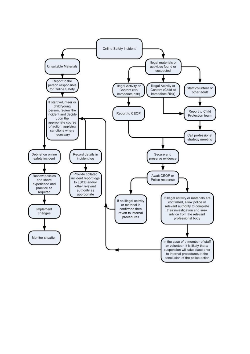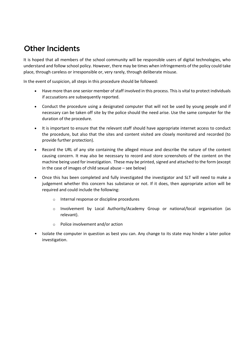### **Other Incidents**

It is hoped that all members of the school community will be responsible users of digital technologies, who understand and follow school policy. However, there may be times when infringements of the policy could take place, through careless or irresponsible or, very rarely, through deliberate misuse.

In the event of suspicion, all steps in this procedure should be followed:

- Have more than one senior member of staff involved in this process. This is vital to protect individuals if accusations are subsequently reported.
- Conduct the procedure using a designated computer that will not be used by young people and if necessary can be taken off site by the police should the need arise. Use the same computer for the duration of the procedure.
- It is important to ensure that the relevant staff should have appropriate internet access to conduct the procedure, but also that the sites and content visited are closely monitored and recorded (to provide further protection).
- Record the URL of any site containing the alleged misuse and describe the nature of the content causing concern. It may also be necessary to record and store screenshots of the content on the machine being used for investigation. These may be printed, signed and attached to the form (except in the case of images of child sexual abuse – see below)
- Once this has been completed and fully investigated the investigator and SLT will need to make a judgement whether this concern has substance or not. If it does, then appropriate action will be required and could include the following:
	- o Internal response or discipline procedures
	- o Involvement by Local Authority/Academy Group or national/local organisation (as relevant).
	- o Police involvement and/or action
- Isolate the computer in question as best you can. Any change to its state may hinder a later police investigation.